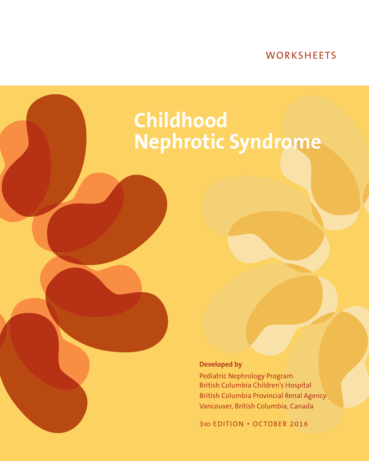#### **WORKSHEETS**

# **Childhood Nephrotic Syndrome**

#### **Developed by**

Pediatric Nephrology Program British Columbia Children's Hospital British Columbia Provincial Renal Agency Vancouver, British Columbia, Canada

3RD EDITION • OCTOBER 2016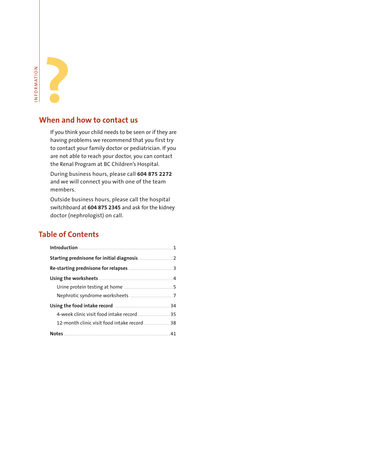#### **When and how to contact us**

If you think your child needs to be seen or if they are having problems we recommend that you first try to contact your family doctor or pediatrician. If you are not able to reach your doctor, you can contact the Renal Program at BC Children's Hospital.

During business hours, please call **604 875 2272** and we will connect you with one of the team members.

Outside business hours, please call the hospital switchboard at **604 875 2345** and ask for the kidney doctor (nephrologist) on call.

#### **Table of Contents**

| 4-week clinic visit food intake record 35   |
|---------------------------------------------|
| 12-month clinic visit food intake record 38 |
|                                             |
|                                             |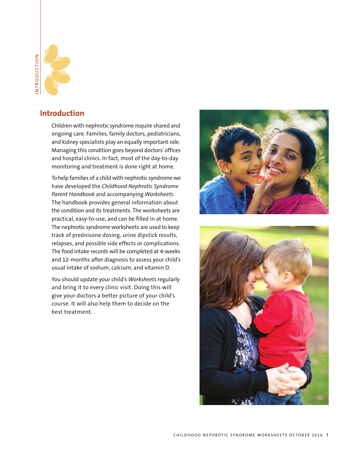

#### **Introduction**

Children with nephrotic syndrome require shared and ongoing care. Families, family doctors, pediatricians, and kidney specialists play an equally important role. Managing this condition goes beyond doctors'offices and hospital clinics. In fact, most of the day-to-day monitoring and treatment is done right at home.

To help families of a child with nephrotic syndrome we have developed the *Childhood Nephrotic Syndrome Parent Handbook* and accompanying *Worksheets.* The handbook provides general information about the condition and its treatments. The worksheets are practical, easy-to-use, and can be filled in at home. The nephrotic syndrome worksheets are used to keep track of prednisone dosing, urine dipstick results, relapses, and possible side effects or complications. The food intake records will be completed at 4-weeks and 12-months after diagnosis to assess your child's usual intake of sodium, calcium, and vitamin D.

You should update your child's *Worksheets* regularly and bring it to every clinic visit. Doing this will give your doctors a better picture of your child's course. It will also help them to decide on the best treatment.



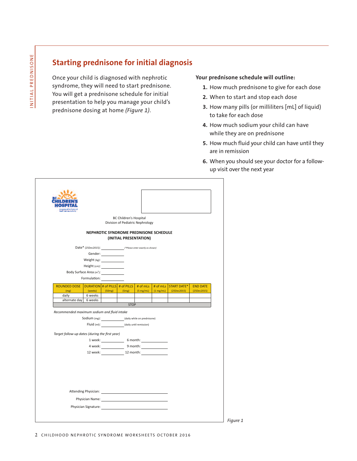#### **Starting prednisone for initial diagnosis**

Once your child is diagnosed with nephrotic syndrome, they will need to start prednisone. You will get a prednisone schedule for initial presentation to help you manage your child's prednisone dosing at home *(Figure 1)*.

#### **Your prednisone schedule will outline:**

- **1.** How much prednisone to give for each dose
- **2.** When to start and stop each dose
- **3.** How many pills (or milliliters [mL] of liquid) to take for each dose
- **4.** How much sodium your child can have while they are on prednisone
- **5.** How much fluid your child can have until they are in remission
- **6.** When you should see your doctor for a followup visit over the next year

|                                                                                               |                                                          |                      | <b>BC Children's Hospital</b><br>Division of Pediatric Nephrology |                     |           |                    |                 |  |
|-----------------------------------------------------------------------------------------------|----------------------------------------------------------|----------------------|-------------------------------------------------------------------|---------------------|-----------|--------------------|-----------------|--|
|                                                                                               |                                                          |                      | NEPHROTIC SYNDROME PREDNISONE SCHEDULE<br>(INITIAL PRESENTATION)  |                     |           |                    |                 |  |
|                                                                                               | Date* (25Dec2015): (*Please enter exactly as shown)      |                      |                                                                   |                     |           |                    |                 |  |
|                                                                                               |                                                          | Gender: ____________ |                                                                   |                     |           |                    |                 |  |
|                                                                                               | Weight $(kg)$ :                                          |                      |                                                                   |                     |           |                    |                 |  |
|                                                                                               |                                                          |                      |                                                                   |                     |           |                    |                 |  |
|                                                                                               |                                                          |                      |                                                                   |                     |           |                    |                 |  |
|                                                                                               | Formulation:                                             |                      |                                                                   |                     |           |                    |                 |  |
| <b>ROUNDED DOSE</b>                                                                           | DURATION # of PILLS # of PILLS                           |                      |                                                                   | # of mLs            | # of mLs  | <b>START DATE*</b> | <b>END DATE</b> |  |
| (mg)                                                                                          | (weeks)                                                  | (50mg)               | (5mg)                                                             | $(5 \text{ mg/mL})$ | (1 mg/mL) | (25Dec2015)        | (25Dec2015)     |  |
| daily                                                                                         | 6 weeks                                                  |                      |                                                                   |                     |           |                    |                 |  |
|                                                                                               | alternate day<br>6 weeks                                 |                      |                                                                   |                     |           |                    |                 |  |
|                                                                                               |                                                          |                      |                                                                   |                     |           |                    |                 |  |
|                                                                                               |                                                          |                      | <b>STOP</b>                                                       |                     |           |                    |                 |  |
|                                                                                               |                                                          |                      |                                                                   |                     |           |                    |                 |  |
|                                                                                               | Sodium (mg): ________________(daily while on prednisone) |                      |                                                                   |                     |           |                    |                 |  |
|                                                                                               |                                                          |                      | Fluid (ml): ______________(daily until remission)                 |                     |           |                    |                 |  |
|                                                                                               |                                                          |                      |                                                                   |                     |           |                    |                 |  |
|                                                                                               |                                                          |                      | 1 week: 6 month: 6 month:                                         |                     |           |                    |                 |  |
| Recommended maximum sodium and fluid intake<br>Target follow-up dates (during the first year) |                                                          |                      |                                                                   |                     |           |                    |                 |  |
|                                                                                               |                                                          |                      | 12 week: 12 month:                                                |                     |           |                    |                 |  |
|                                                                                               |                                                          |                      |                                                                   |                     |           |                    |                 |  |
|                                                                                               |                                                          |                      |                                                                   |                     |           |                    |                 |  |
|                                                                                               |                                                          |                      |                                                                   |                     |           |                    |                 |  |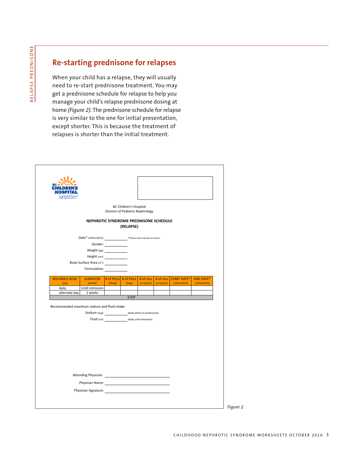#### **Re-starting prednisone for relapses**

When your child has a relapse, they will usually need to re-start prednisone treatment. You may get a prednisone schedule for relapse to help you manage your child's relapse prednisone dosing at home *(Figure 2)*. The prednisone schedule for relapse is very similar to the one for initial presentation, except shorter. This is because the treatment of relapses is shorter than the initial treatment.

| <b>BC Children's Hospital</b><br>Division of Pediatric Nephrology<br>NEPHROTIC SYNDROME PREDNISONE SCHEDULE<br>(RELAPSE)<br>$\textsf{Date*}\text{ (25Dec2015):}\underbrace{\text{ (*Please enter exactly as shown)}}$<br>Gender: ______________<br>$Weight (kg): \underline{\hspace{2cm}}$<br>Height (cm):<br>Formulation: The control of the control of the control of the control of the control of the control of the control of the control of the control of the control of the control of the control of the control of the control of<br><b>DURATION</b><br># of PILLS $ $ # of PILLS<br># of mLs $ $ # of mLs $ $ START DATE*<br><b>END DATE*</b><br>(mg)<br>(weeks)<br>(50mg)<br>(5mg)<br>(5 mg/mL)<br>(1 mg/mL)<br>(25Dec2015)<br>(25Dec2015)<br>daily<br>Until remission<br>alternate day<br>2 weeks<br><b>STOP</b><br>Recommended maximum sodium and fluid intake<br>Sodium (mg): ______________(daily while on prednisone)<br>Fluid (ml): _______________(daily until remission) |                     |  |  |  |  |  |  |  |  |
|-----------------------------------------------------------------------------------------------------------------------------------------------------------------------------------------------------------------------------------------------------------------------------------------------------------------------------------------------------------------------------------------------------------------------------------------------------------------------------------------------------------------------------------------------------------------------------------------------------------------------------------------------------------------------------------------------------------------------------------------------------------------------------------------------------------------------------------------------------------------------------------------------------------------------------------------------------------------------------------------------|---------------------|--|--|--|--|--|--|--|--|
|                                                                                                                                                                                                                                                                                                                                                                                                                                                                                                                                                                                                                                                                                                                                                                                                                                                                                                                                                                                               |                     |  |  |  |  |  |  |  |  |
|                                                                                                                                                                                                                                                                                                                                                                                                                                                                                                                                                                                                                                                                                                                                                                                                                                                                                                                                                                                               |                     |  |  |  |  |  |  |  |  |
|                                                                                                                                                                                                                                                                                                                                                                                                                                                                                                                                                                                                                                                                                                                                                                                                                                                                                                                                                                                               |                     |  |  |  |  |  |  |  |  |
|                                                                                                                                                                                                                                                                                                                                                                                                                                                                                                                                                                                                                                                                                                                                                                                                                                                                                                                                                                                               |                     |  |  |  |  |  |  |  |  |
|                                                                                                                                                                                                                                                                                                                                                                                                                                                                                                                                                                                                                                                                                                                                                                                                                                                                                                                                                                                               |                     |  |  |  |  |  |  |  |  |
|                                                                                                                                                                                                                                                                                                                                                                                                                                                                                                                                                                                                                                                                                                                                                                                                                                                                                                                                                                                               |                     |  |  |  |  |  |  |  |  |
|                                                                                                                                                                                                                                                                                                                                                                                                                                                                                                                                                                                                                                                                                                                                                                                                                                                                                                                                                                                               |                     |  |  |  |  |  |  |  |  |
|                                                                                                                                                                                                                                                                                                                                                                                                                                                                                                                                                                                                                                                                                                                                                                                                                                                                                                                                                                                               |                     |  |  |  |  |  |  |  |  |
|                                                                                                                                                                                                                                                                                                                                                                                                                                                                                                                                                                                                                                                                                                                                                                                                                                                                                                                                                                                               |                     |  |  |  |  |  |  |  |  |
|                                                                                                                                                                                                                                                                                                                                                                                                                                                                                                                                                                                                                                                                                                                                                                                                                                                                                                                                                                                               | <b>ROUNDED DOSE</b> |  |  |  |  |  |  |  |  |
|                                                                                                                                                                                                                                                                                                                                                                                                                                                                                                                                                                                                                                                                                                                                                                                                                                                                                                                                                                                               |                     |  |  |  |  |  |  |  |  |
|                                                                                                                                                                                                                                                                                                                                                                                                                                                                                                                                                                                                                                                                                                                                                                                                                                                                                                                                                                                               |                     |  |  |  |  |  |  |  |  |
|                                                                                                                                                                                                                                                                                                                                                                                                                                                                                                                                                                                                                                                                                                                                                                                                                                                                                                                                                                                               |                     |  |  |  |  |  |  |  |  |
|                                                                                                                                                                                                                                                                                                                                                                                                                                                                                                                                                                                                                                                                                                                                                                                                                                                                                                                                                                                               |                     |  |  |  |  |  |  |  |  |
|                                                                                                                                                                                                                                                                                                                                                                                                                                                                                                                                                                                                                                                                                                                                                                                                                                                                                                                                                                                               |                     |  |  |  |  |  |  |  |  |
|                                                                                                                                                                                                                                                                                                                                                                                                                                                                                                                                                                                                                                                                                                                                                                                                                                                                                                                                                                                               |                     |  |  |  |  |  |  |  |  |
|                                                                                                                                                                                                                                                                                                                                                                                                                                                                                                                                                                                                                                                                                                                                                                                                                                                                                                                                                                                               |                     |  |  |  |  |  |  |  |  |
|                                                                                                                                                                                                                                                                                                                                                                                                                                                                                                                                                                                                                                                                                                                                                                                                                                                                                                                                                                                               |                     |  |  |  |  |  |  |  |  |
|                                                                                                                                                                                                                                                                                                                                                                                                                                                                                                                                                                                                                                                                                                                                                                                                                                                                                                                                                                                               |                     |  |  |  |  |  |  |  |  |
|                                                                                                                                                                                                                                                                                                                                                                                                                                                                                                                                                                                                                                                                                                                                                                                                                                                                                                                                                                                               |                     |  |  |  |  |  |  |  |  |
|                                                                                                                                                                                                                                                                                                                                                                                                                                                                                                                                                                                                                                                                                                                                                                                                                                                                                                                                                                                               |                     |  |  |  |  |  |  |  |  |
|                                                                                                                                                                                                                                                                                                                                                                                                                                                                                                                                                                                                                                                                                                                                                                                                                                                                                                                                                                                               |                     |  |  |  |  |  |  |  |  |
|                                                                                                                                                                                                                                                                                                                                                                                                                                                                                                                                                                                                                                                                                                                                                                                                                                                                                                                                                                                               |                     |  |  |  |  |  |  |  |  |
|                                                                                                                                                                                                                                                                                                                                                                                                                                                                                                                                                                                                                                                                                                                                                                                                                                                                                                                                                                                               |                     |  |  |  |  |  |  |  |  |
|                                                                                                                                                                                                                                                                                                                                                                                                                                                                                                                                                                                                                                                                                                                                                                                                                                                                                                                                                                                               |                     |  |  |  |  |  |  |  |  |
|                                                                                                                                                                                                                                                                                                                                                                                                                                                                                                                                                                                                                                                                                                                                                                                                                                                                                                                                                                                               |                     |  |  |  |  |  |  |  |  |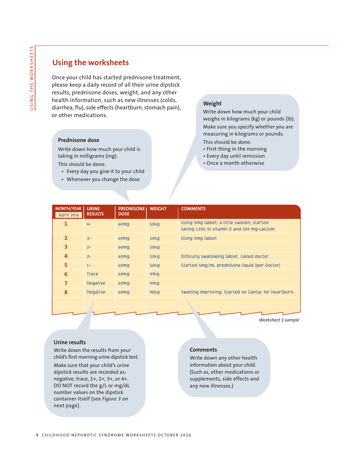#### **Using the worksheets**

Once your child has started prednisone treatment, please keep a daily record of all their urine dipstick results, prednisone doses, weight, and any other health information, such as new illnesses (colds, diarrhea, flu), side effects (heartburn, stomach pain), or other medications.

#### **Prednisone dose**

Write down how much your child is taking in milligrams (mg). This should be done:

- Every day you give it to your child
- Whenever you change the dose

#### **Weight**

Write down how much your child weighs in kilograms (kg) or pounds (lb). Make sure you specify whether you are measuring in kilograms or pounds. This should be done:

- First thing in the morning
- Every day until remission
- Once a month otherwise

| <b>MONTH/YEAR</b><br><b>April 2016</b> | <b>URINE</b><br><b>RESULTS</b> | <b>PREDNISONE</b><br><b>DOSE</b> | <b>WEIGHT</b> | <b>COMMENTS</b>                                                                             |
|----------------------------------------|--------------------------------|----------------------------------|---------------|---------------------------------------------------------------------------------------------|
| 1                                      | $4+$                           | 60 <sub>mg</sub>                 | <b>50kg</b>   | Using 5mg tablet; a little swollen; started<br>taking 1,000 IU vitamin D and 500 mg calcium |
| $\overline{2}$                         | $3+$                           | 60 <sub>mg</sub>                 | <b>50kg</b>   | Using 5mg tablet                                                                            |
| 3                                      | $2+$                           | 60 <sub>mg</sub>                 | <b>50kg</b>   |                                                                                             |
| 4                                      | $2+$                           | 60 <sub>mg</sub>                 | <b>50kg</b>   | Difficulty swallowing tablet. Called doctor.                                                |
| 5                                      | $1+$                           | 60 <sub>mg</sub>                 | <b>50kg</b>   | Started 5mg/mL prednisone liquid (per Doctor)                                               |
| 6                                      | <b>Trace</b>                   | <b>60mg</b>                      | 49kg          |                                                                                             |
| $\overline{7}$                         | negative                       | 60 <sub>mg</sub>                 | 49kg          |                                                                                             |
| 8                                      | negative                       | 60 <sub>mg</sub>                 | 48kg          | Swelling improving. Started on Zantac for heartburn.                                        |
|                                        |                                |                                  |               |                                                                                             |
|                                        |                                |                                  |               |                                                                                             |

*Worksheet 1 sample*

#### **Urine results**

Write down the results from your child's first morning urine dipstick test.

Make sure that your child's urine dipstick results are recorded as: negative, trace, 1+, 2+, 3+, or 4+. DO NOT record the g/L or mg/dL number values on the dipstick container itself (see *Figure 3* on next page).

#### **Comments**

Write down any other health information about your child. (Such as, other medications or supplements, side effects and any new illnesses.)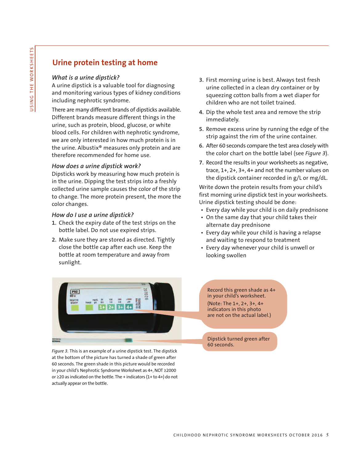#### **Urine protein testing at home**

#### *What is a urine dipstick?*

A urine dipstick is a valuable tool for diagnosing and monitoring various types of kidney conditions including nephrotic syndrome.

There are many different brands of dipsticks available. Different brands measure different things in the urine, such as protein, blood, glucose, or white blood cells. For children with nephrotic syndrome, we are only interested in how much protein is in the urine. Albustix® measures only protein and are therefore recommended for home use.

#### *How does a urine dipstick work?*

Dipsticks work by measuring how much protein is in the urine. Dipping the test strips into a freshly collected urine sample causes the color of the strip to change. The more protein present, the more the color changes.

#### *How do I use a urine dipstick?*

- **1.** Check the expiry date of the test strips on the bottle label. Do not use expired strips.
- **2.** Make sure they are stored as directed. Tightly close the bottle cap after each use. Keep the bottle at room temperature and away from sunlight.



*Figure 3.* This is an example of a urine dipstick test. The dipstick at the bottom of the picture has turned a shade of green after 60 seconds. The green shade in this picture would be recorded in your child's Nephrotic SyndromeWorksheet as 4+, NOT ≥2000 or ≥20 as indicated on the bottle. The + indicators (1+ to 4+) do not actually appear on the bottle**.**

- **3.** First morning urine is best. Always test fresh urine collected in a clean dry container or by squeezing cotton balls from a wet diaper for children who are not toilet trained.
- **4.** Dip the whole test area and remove the strip immediately.
- **5.** Remove excess urine by running the edge of the strip against the rim of the urine container.
- **6.** After 60 seconds compare the test area closely with the color chart on the bottle label (see *Figure 3*).
- **7.** Record the results in your worksheets as negative, trace, 1+, 2+, 3+, 4+ and not the number values on the dipstick container recorded in g/L or mg/dL.

Write down the protein results from your child's first morning urine dipstick test in your worksheets. Urine dipstick testing should be done:

- Every day while your child is on daily prednisone
- On the same day that your child takes their alternate day prednisone
- Every day while your child is having a relapse and waiting to respond to treatment
- Every day whenever your child is unwell or looking swollen

Record this green shade as 4+ in your child's worksheet. (Note: The 1+, 2+, 3+, 4+ indicators in this photo are not on the actual label.)

Dipstick turned green after 60 seconds.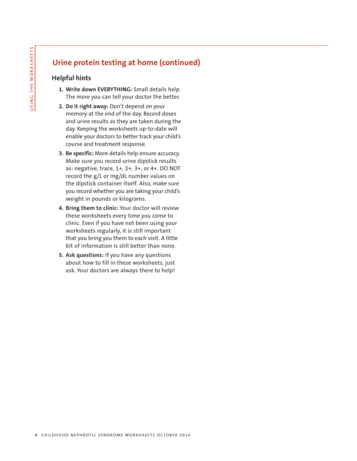#### **Urine protein testing at home (continued)**

#### **Helpful hints**

- **1. Write down EVERYTHING:** Small details help. The more you can tell your doctor the better.
- **2. Do it right away:** Don't depend on your memory at the end of the day. Record doses and urine results as they are taken during the day. Keeping the worksheets up-to-date will enable your doctors to better track your child's course and treatment response.
- **3. Be specific:** More details help ensure accuracy. Make sure you record urine dipstick results as: negative, trace, 1+, 2+, 3+, or 4+. DO NOT record the g/L or mg/dL number values on the dipstick container itself. Also, make sure you record whether you are taking your child's weight in pounds or kilograms.
- **4. Bring them to clinic:** Your doctor will review these worksheets every time you come to clinic. Even if you have not been using your worksheets regularly, it is still important that you bring you them to each visit. A little bit of information is still better than none.
- **5. Ask questions:** If you have any questions about how to fill in these worksheets, just ask. Your doctors are always there to help!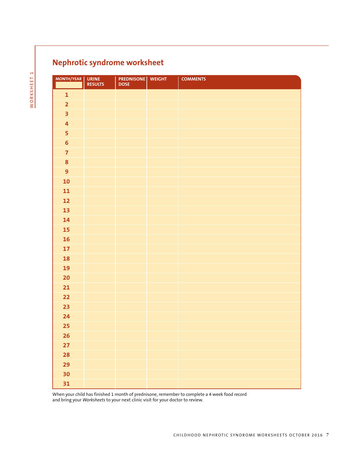| MONTH/YEAR              | URINE<br><b>RESULTS</b> | <b>PREDNISONE</b><br><b>DOSE</b> | <b>WEIGHT</b> | <b>COMMENTS</b> |
|-------------------------|-------------------------|----------------------------------|---------------|-----------------|
| $\mathbf{1}$            |                         |                                  |               |                 |
| $\overline{\mathbf{2}}$ |                         |                                  |               |                 |
| $\overline{\mathbf{3}}$ |                         |                                  |               |                 |
| 4                       |                         |                                  |               |                 |
| 5                       |                         |                                  |               |                 |
| $\boldsymbol{6}$        |                         |                                  |               |                 |
| $\overline{7}$          |                         |                                  |               |                 |
| 8                       |                         |                                  |               |                 |
| $\overline{9}$          |                         |                                  |               |                 |
| 10                      |                         |                                  |               |                 |
| 11                      |                         |                                  |               |                 |
| 12                      |                         |                                  |               |                 |
| 13                      |                         |                                  |               |                 |
| 14                      |                         |                                  |               |                 |
| 15                      |                         |                                  |               |                 |
| 16                      |                         |                                  |               |                 |
| 17                      |                         |                                  |               |                 |
| 18                      |                         |                                  |               |                 |
| 19                      |                         |                                  |               |                 |
| 20                      |                         |                                  |               |                 |
| 21                      |                         |                                  |               |                 |
| 22                      |                         |                                  |               |                 |
| 23                      |                         |                                  |               |                 |
| 24                      |                         |                                  |               |                 |
| 25                      |                         |                                  |               |                 |
| 26                      |                         |                                  |               |                 |
| 27                      |                         |                                  |               |                 |
| 28                      |                         |                                  |               |                 |
| 29                      |                         |                                  |               |                 |
| 30                      |                         |                                  |               |                 |
| 31                      |                         |                                  |               |                 |

When your child has finished 1 month of prednisone, remember to complete a 4 week food record and bring your *Worksheets* to your next clinic visit for your doctor to review.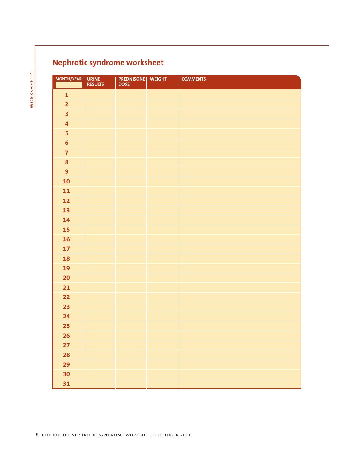| <b>MONTH/YEAR</b>       | <b>URINE</b><br><b>RESULTS</b> | PREDNISONE   WEIGHT<br><b>DOSE</b> | <b>COMMENTS</b> |
|-------------------------|--------------------------------|------------------------------------|-----------------|
| $\mathbf{1}$            |                                |                                    |                 |
| $\overline{\mathbf{2}}$ |                                |                                    |                 |
| 3                       |                                |                                    |                 |
| 4                       |                                |                                    |                 |
| 5                       |                                |                                    |                 |
| $\boldsymbol{6}$        |                                |                                    |                 |
| $\overline{7}$          |                                |                                    |                 |
| 8                       |                                |                                    |                 |
| 9                       |                                |                                    |                 |
| 10                      |                                |                                    |                 |
| 11                      |                                |                                    |                 |
| 12                      |                                |                                    |                 |
| 13                      |                                |                                    |                 |
| 14                      |                                |                                    |                 |
| 15                      |                                |                                    |                 |
| 16                      |                                |                                    |                 |
| 17                      |                                |                                    |                 |
| <b>18</b>               |                                |                                    |                 |
| 19                      |                                |                                    |                 |
| 20                      |                                |                                    |                 |
| 21                      |                                |                                    |                 |
| 22                      |                                |                                    |                 |
| 23                      |                                |                                    |                 |
| 24                      |                                |                                    |                 |
| 25                      |                                |                                    |                 |
| 26                      |                                |                                    |                 |
| 27                      |                                |                                    |                 |
| 28                      |                                |                                    |                 |
| 29                      |                                |                                    |                 |
| 30 <sub>o</sub>         |                                |                                    |                 |
| 31                      |                                |                                    |                 |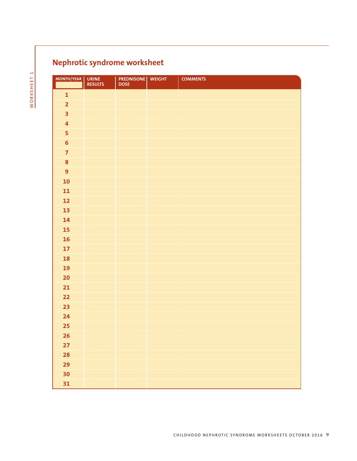| MONTH/YEAR              | URINE<br><b>RESULTS</b> | <b>PREDNISONE</b><br><b>DOSE</b> | <b>WEIGHT</b> | <b>COMMENTS</b> |
|-------------------------|-------------------------|----------------------------------|---------------|-----------------|
| $\mathbf{1}$            |                         |                                  |               |                 |
| $\overline{\mathbf{2}}$ |                         |                                  |               |                 |
| 3                       |                         |                                  |               |                 |
| 4                       |                         |                                  |               |                 |
| 5                       |                         |                                  |               |                 |
| $\boldsymbol{6}$        |                         |                                  |               |                 |
| $\overline{7}$          |                         |                                  |               |                 |
| 8                       |                         |                                  |               |                 |
| $\overline{9}$          |                         |                                  |               |                 |
| 10                      |                         |                                  |               |                 |
| 11                      |                         |                                  |               |                 |
| 12                      |                         |                                  |               |                 |
| 13                      |                         |                                  |               |                 |
| 14                      |                         |                                  |               |                 |
| 15                      |                         |                                  |               |                 |
| 16                      |                         |                                  |               |                 |
| 17                      |                         |                                  |               |                 |
| 18                      |                         |                                  |               |                 |
| 19                      |                         |                                  |               |                 |
| 20                      |                         |                                  |               |                 |
| 21                      |                         |                                  |               |                 |
| 22                      |                         |                                  |               |                 |
| 23                      |                         |                                  |               |                 |
| 24                      |                         |                                  |               |                 |
| 25                      |                         |                                  |               |                 |
| 26                      |                         |                                  |               |                 |
| 27                      |                         |                                  |               |                 |
| 28                      |                         |                                  |               |                 |
| 29                      |                         |                                  |               |                 |
| 30                      |                         |                                  |               |                 |
| 31                      |                         |                                  |               |                 |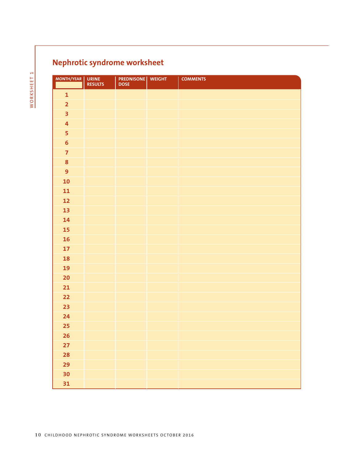| MONTH/YEAR              | URINE<br><b>RESULTS</b> | <b>PREDNISONE</b><br><b>DOSE</b> | <b>WEIGHT</b> | <b>COMMENTS</b> |
|-------------------------|-------------------------|----------------------------------|---------------|-----------------|
| $\mathbf{1}$            |                         |                                  |               |                 |
| $\overline{\mathbf{2}}$ |                         |                                  |               |                 |
| 3                       |                         |                                  |               |                 |
| 4                       |                         |                                  |               |                 |
| 5                       |                         |                                  |               |                 |
| $\boldsymbol{6}$        |                         |                                  |               |                 |
| $\overline{7}$          |                         |                                  |               |                 |
| 8                       |                         |                                  |               |                 |
| $\overline{9}$          |                         |                                  |               |                 |
| 10                      |                         |                                  |               |                 |
| 11                      |                         |                                  |               |                 |
| 12                      |                         |                                  |               |                 |
| 13                      |                         |                                  |               |                 |
| 14                      |                         |                                  |               |                 |
| 15                      |                         |                                  |               |                 |
| 16                      |                         |                                  |               |                 |
| 17                      |                         |                                  |               |                 |
| <b>18</b>               |                         |                                  |               |                 |
| 19                      |                         |                                  |               |                 |
| 20                      |                         |                                  |               |                 |
| 21                      |                         |                                  |               |                 |
| 22                      |                         |                                  |               |                 |
| 23                      |                         |                                  |               |                 |
| 24                      |                         |                                  |               |                 |
| 25                      |                         |                                  |               |                 |
| 26                      |                         |                                  |               |                 |
| 27                      |                         |                                  |               |                 |
| 28                      |                         |                                  |               |                 |
| 29                      |                         |                                  |               |                 |
| 30                      |                         |                                  |               |                 |
| 31                      |                         |                                  |               |                 |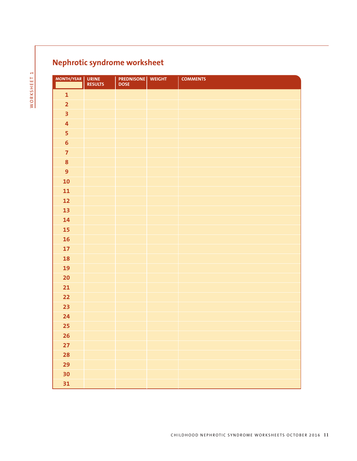| MONTH/YEAR              | <b>URINE</b><br><b>RESULTS</b> | PREDNISONE   WEIGHT<br><b>DOSE</b> | <b>COMMENTS</b> |
|-------------------------|--------------------------------|------------------------------------|-----------------|
| $\mathbf{1}$            |                                |                                    |                 |
| $\overline{\mathbf{2}}$ |                                |                                    |                 |
| 3                       |                                |                                    |                 |
| 4                       |                                |                                    |                 |
| 5                       |                                |                                    |                 |
| $\boldsymbol{6}$        |                                |                                    |                 |
| $\overline{7}$          |                                |                                    |                 |
| 8                       |                                |                                    |                 |
| $\overline{9}$          |                                |                                    |                 |
| 10                      |                                |                                    |                 |
| 11                      |                                |                                    |                 |
| 12                      |                                |                                    |                 |
| 13                      |                                |                                    |                 |
| 14                      |                                |                                    |                 |
| 15                      |                                |                                    |                 |
| 16                      |                                |                                    |                 |
| 17                      |                                |                                    |                 |
| 18                      |                                |                                    |                 |
| 19                      |                                |                                    |                 |
| 20                      |                                |                                    |                 |
| 21                      |                                |                                    |                 |
| 22                      |                                |                                    |                 |
| 23                      |                                |                                    |                 |
| 24                      |                                |                                    |                 |
| 25                      |                                |                                    |                 |
| 26                      |                                |                                    |                 |
| 27                      |                                |                                    |                 |
| 28                      |                                |                                    |                 |
| 29                      |                                |                                    |                 |
| 30                      |                                |                                    |                 |
| 31                      |                                |                                    |                 |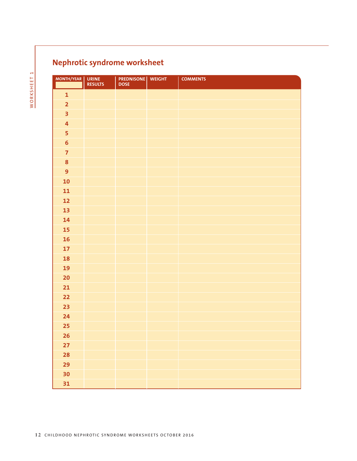| <b>MONTH/YEAR</b>       | <b>URINE</b><br><b>RESULTS</b> | PREDNISONE   WEIGHT<br><b>DOSE</b> | <b>COMMENTS</b> |
|-------------------------|--------------------------------|------------------------------------|-----------------|
| $\mathbf{1}$            |                                |                                    |                 |
| $\overline{\mathbf{2}}$ |                                |                                    |                 |
| 3                       |                                |                                    |                 |
| 4                       |                                |                                    |                 |
| 5                       |                                |                                    |                 |
| $\boldsymbol{6}$        |                                |                                    |                 |
| $\overline{7}$          |                                |                                    |                 |
| 8                       |                                |                                    |                 |
| 9                       |                                |                                    |                 |
| 10                      |                                |                                    |                 |
| 11                      |                                |                                    |                 |
| 12                      |                                |                                    |                 |
| 13                      |                                |                                    |                 |
| 14                      |                                |                                    |                 |
| 15                      |                                |                                    |                 |
| 16                      |                                |                                    |                 |
| 17                      |                                |                                    |                 |
| <b>18</b>               |                                |                                    |                 |
| 19                      |                                |                                    |                 |
| 20                      |                                |                                    |                 |
| 21                      |                                |                                    |                 |
| 22                      |                                |                                    |                 |
| 23                      |                                |                                    |                 |
| 24                      |                                |                                    |                 |
| 25                      |                                |                                    |                 |
| 26                      |                                |                                    |                 |
| 27                      |                                |                                    |                 |
| 28                      |                                |                                    |                 |
| 29                      |                                |                                    |                 |
| 30 <sub>o</sub>         |                                |                                    |                 |
| 31                      |                                |                                    |                 |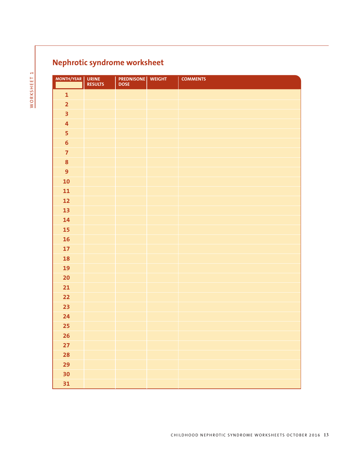| MONTH/YEAR              | URINE<br><b>RESULTS</b> | <b>PREDNISONE</b><br><b>DOSE</b> | <b>WEIGHT</b> | <b>COMMENTS</b> |
|-------------------------|-------------------------|----------------------------------|---------------|-----------------|
| $\mathbf{1}$            |                         |                                  |               |                 |
| $\overline{\mathbf{2}}$ |                         |                                  |               |                 |
| 3                       |                         |                                  |               |                 |
| $\overline{\mathbf{4}}$ |                         |                                  |               |                 |
| 5                       |                         |                                  |               |                 |
| $\boldsymbol{6}$        |                         |                                  |               |                 |
| $\overline{7}$          |                         |                                  |               |                 |
| 8                       |                         |                                  |               |                 |
| $\overline{9}$          |                         |                                  |               |                 |
| 10                      |                         |                                  |               |                 |
| 11                      |                         |                                  |               |                 |
| 12                      |                         |                                  |               |                 |
| 13                      |                         |                                  |               |                 |
| 14                      |                         |                                  |               |                 |
| 15                      |                         |                                  |               |                 |
| 16                      |                         |                                  |               |                 |
| 17                      |                         |                                  |               |                 |
| 18                      |                         |                                  |               |                 |
| 19                      |                         |                                  |               |                 |
| 20                      |                         |                                  |               |                 |
| 21                      |                         |                                  |               |                 |
| 22                      |                         |                                  |               |                 |
| 23                      |                         |                                  |               |                 |
| 24                      |                         |                                  |               |                 |
| 25                      |                         |                                  |               |                 |
| 26                      |                         |                                  |               |                 |
| 27                      |                         |                                  |               |                 |
| 28                      |                         |                                  |               |                 |
| 29                      |                         |                                  |               |                 |
| 30                      |                         |                                  |               |                 |
| 31                      |                         |                                  |               |                 |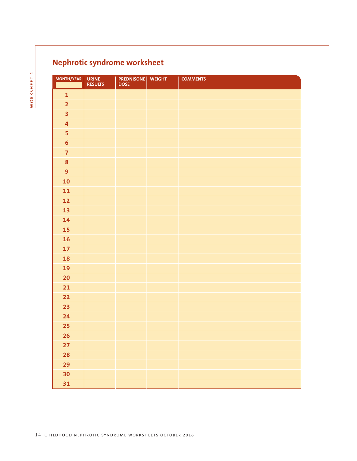| MONTH/YEAR              | <b>URINE</b><br><b>RESULTS</b> | PREDNISONE   WEIGHT<br><b>DOSE</b> | <b>COMMENTS</b> |
|-------------------------|--------------------------------|------------------------------------|-----------------|
| $\mathbf{1}$            |                                |                                    |                 |
| $\overline{\mathbf{2}}$ |                                |                                    |                 |
| 3                       |                                |                                    |                 |
| 4                       |                                |                                    |                 |
| 5                       |                                |                                    |                 |
| $\boldsymbol{6}$        |                                |                                    |                 |
| $\overline{7}$          |                                |                                    |                 |
| 8                       |                                |                                    |                 |
| $\overline{9}$          |                                |                                    |                 |
| 10                      |                                |                                    |                 |
| 11                      |                                |                                    |                 |
| 12                      |                                |                                    |                 |
| 13                      |                                |                                    |                 |
| 14                      |                                |                                    |                 |
| 15                      |                                |                                    |                 |
| 16                      |                                |                                    |                 |
| 17                      |                                |                                    |                 |
| 18                      |                                |                                    |                 |
| 19                      |                                |                                    |                 |
| 20                      |                                |                                    |                 |
| 21                      |                                |                                    |                 |
| 22                      |                                |                                    |                 |
| 23                      |                                |                                    |                 |
| 24                      |                                |                                    |                 |
| 25                      |                                |                                    |                 |
| <b>26</b>               |                                |                                    |                 |
| 27                      |                                |                                    |                 |
| 28                      |                                |                                    |                 |
| 29                      |                                |                                    |                 |
| 30 <sub>o</sub>         |                                |                                    |                 |
| 31                      |                                |                                    |                 |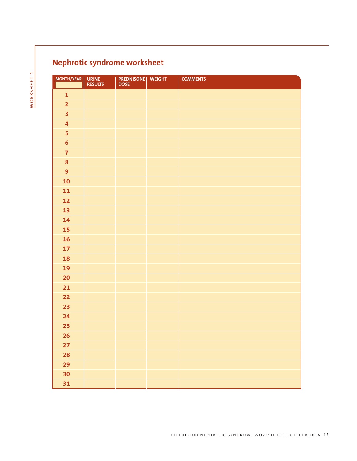| MONTH/YEAR              | URINE<br><b>RESULTS</b> | <b>PREDNISONE</b><br><b>DOSE</b> | <b>WEIGHT</b> | <b>COMMENTS</b> |
|-------------------------|-------------------------|----------------------------------|---------------|-----------------|
| $\mathbf{1}$            |                         |                                  |               |                 |
| $\overline{\mathbf{2}}$ |                         |                                  |               |                 |
| 3                       |                         |                                  |               |                 |
| 4                       |                         |                                  |               |                 |
| 5                       |                         |                                  |               |                 |
| $\boldsymbol{6}$        |                         |                                  |               |                 |
| $\overline{7}$          |                         |                                  |               |                 |
| 8                       |                         |                                  |               |                 |
| $\overline{9}$          |                         |                                  |               |                 |
| 10                      |                         |                                  |               |                 |
| 11                      |                         |                                  |               |                 |
| 12                      |                         |                                  |               |                 |
| 13                      |                         |                                  |               |                 |
| 14                      |                         |                                  |               |                 |
| 15                      |                         |                                  |               |                 |
| 16                      |                         |                                  |               |                 |
| 17                      |                         |                                  |               |                 |
| 18                      |                         |                                  |               |                 |
| 19                      |                         |                                  |               |                 |
| 20                      |                         |                                  |               |                 |
| 21                      |                         |                                  |               |                 |
| 22                      |                         |                                  |               |                 |
| 23                      |                         |                                  |               |                 |
| 24                      |                         |                                  |               |                 |
| 25                      |                         |                                  |               |                 |
| 26                      |                         |                                  |               |                 |
| 27                      |                         |                                  |               |                 |
| 28                      |                         |                                  |               |                 |
| 29                      |                         |                                  |               |                 |
| 30                      |                         |                                  |               |                 |
| 31                      |                         |                                  |               |                 |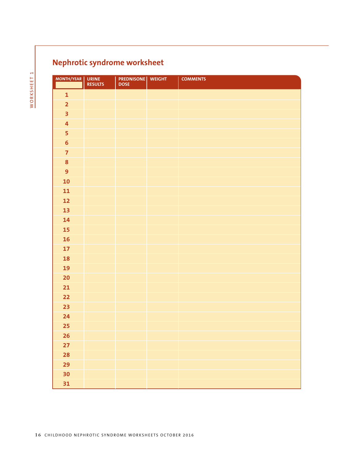| MONTH/YEAR              | <b>URINE</b><br><b>RESULTS</b> | PREDNISONE   WEIGHT<br><b>DOSE</b> | <b>COMMENTS</b> |
|-------------------------|--------------------------------|------------------------------------|-----------------|
| $\mathbf{1}$            |                                |                                    |                 |
| $\overline{\mathbf{2}}$ |                                |                                    |                 |
| 3                       |                                |                                    |                 |
| 4                       |                                |                                    |                 |
| 5                       |                                |                                    |                 |
| $\boldsymbol{6}$        |                                |                                    |                 |
| $\overline{7}$          |                                |                                    |                 |
| 8                       |                                |                                    |                 |
| $\overline{9}$          |                                |                                    |                 |
| 10                      |                                |                                    |                 |
| 11                      |                                |                                    |                 |
| 12                      |                                |                                    |                 |
| 13                      |                                |                                    |                 |
| 14                      |                                |                                    |                 |
| 15                      |                                |                                    |                 |
| 16                      |                                |                                    |                 |
| 17                      |                                |                                    |                 |
| 18                      |                                |                                    |                 |
| 19                      |                                |                                    |                 |
| 20                      |                                |                                    |                 |
| 21                      |                                |                                    |                 |
| 22                      |                                |                                    |                 |
| 23                      |                                |                                    |                 |
| 24                      |                                |                                    |                 |
| 25                      |                                |                                    |                 |
| <b>26</b>               |                                |                                    |                 |
| 27                      |                                |                                    |                 |
| 28                      |                                |                                    |                 |
| 29                      |                                |                                    |                 |
| 30 <sub>o</sub>         |                                |                                    |                 |
| 31                      |                                |                                    |                 |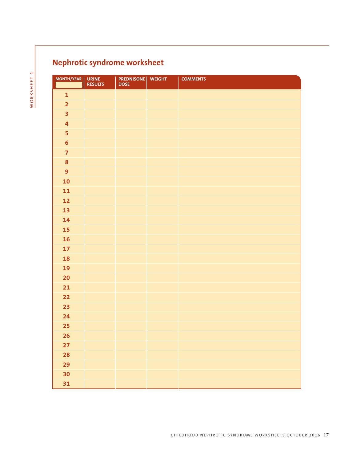| MONTH/YEAR              | URINE<br><b>RESULTS</b> | <b>PREDNISONE</b><br><b>DOSE</b> | <b>WEIGHT</b> | <b>COMMENTS</b> |
|-------------------------|-------------------------|----------------------------------|---------------|-----------------|
| $\mathbf{1}$            |                         |                                  |               |                 |
| $\overline{\mathbf{2}}$ |                         |                                  |               |                 |
| 3                       |                         |                                  |               |                 |
| 4                       |                         |                                  |               |                 |
| 5                       |                         |                                  |               |                 |
| $\boldsymbol{6}$        |                         |                                  |               |                 |
| $\overline{7}$          |                         |                                  |               |                 |
| 8                       |                         |                                  |               |                 |
| $\overline{9}$          |                         |                                  |               |                 |
| 10                      |                         |                                  |               |                 |
| 11                      |                         |                                  |               |                 |
| 12                      |                         |                                  |               |                 |
| 13                      |                         |                                  |               |                 |
| 14                      |                         |                                  |               |                 |
| 15                      |                         |                                  |               |                 |
| 16                      |                         |                                  |               |                 |
| 17                      |                         |                                  |               |                 |
| 18                      |                         |                                  |               |                 |
| 19                      |                         |                                  |               |                 |
| 20                      |                         |                                  |               |                 |
| 21                      |                         |                                  |               |                 |
| 22                      |                         |                                  |               |                 |
| 23                      |                         |                                  |               |                 |
| 24                      |                         |                                  |               |                 |
| 25                      |                         |                                  |               |                 |
| 26                      |                         |                                  |               |                 |
| 27                      |                         |                                  |               |                 |
| 28                      |                         |                                  |               |                 |
| 29                      |                         |                                  |               |                 |
| 30                      |                         |                                  |               |                 |
| 31                      |                         |                                  |               |                 |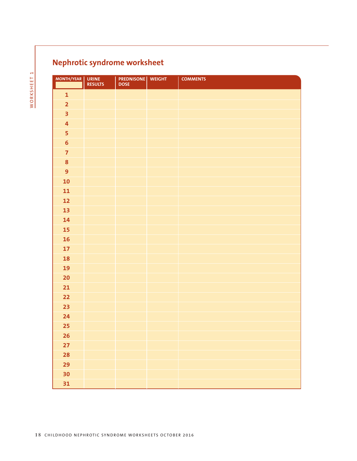| <b>MONTH/YEAR</b>       | <b>URINE</b><br><b>RESULTS</b> | PREDNISONE   WEIGHT<br><b>DOSE</b> | <b>COMMENTS</b> |
|-------------------------|--------------------------------|------------------------------------|-----------------|
| $\mathbf{1}$            |                                |                                    |                 |
| $\overline{\mathbf{2}}$ |                                |                                    |                 |
| 3                       |                                |                                    |                 |
| 4                       |                                |                                    |                 |
| 5                       |                                |                                    |                 |
| $\boldsymbol{6}$        |                                |                                    |                 |
| $\overline{7}$          |                                |                                    |                 |
| 8                       |                                |                                    |                 |
| 9                       |                                |                                    |                 |
| 10                      |                                |                                    |                 |
| 11                      |                                |                                    |                 |
| 12                      |                                |                                    |                 |
| 13                      |                                |                                    |                 |
| 14                      |                                |                                    |                 |
| 15                      |                                |                                    |                 |
| 16                      |                                |                                    |                 |
| 17                      |                                |                                    |                 |
| <b>18</b>               |                                |                                    |                 |
| 19                      |                                |                                    |                 |
| 20                      |                                |                                    |                 |
| 21                      |                                |                                    |                 |
| 22                      |                                |                                    |                 |
| 23                      |                                |                                    |                 |
| 24                      |                                |                                    |                 |
| 25                      |                                |                                    |                 |
| 26                      |                                |                                    |                 |
| 27                      |                                |                                    |                 |
| 28                      |                                |                                    |                 |
| 29                      |                                |                                    |                 |
| 30 <sub>o</sub>         |                                |                                    |                 |
| 31                      |                                |                                    |                 |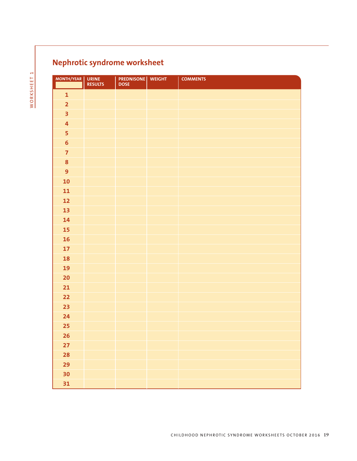| MONTH/YEAR              | <b>URINE</b><br><b>RESULTS</b> | PREDNISONE   WEIGHT<br><b>DOSE</b> | <b>COMMENTS</b> |
|-------------------------|--------------------------------|------------------------------------|-----------------|
| $\mathbf{1}$            |                                |                                    |                 |
| $\overline{\mathbf{2}}$ |                                |                                    |                 |
| 3                       |                                |                                    |                 |
| 4                       |                                |                                    |                 |
| 5                       |                                |                                    |                 |
| $\boldsymbol{6}$        |                                |                                    |                 |
| $\overline{7}$          |                                |                                    |                 |
| 8                       |                                |                                    |                 |
| $\overline{9}$          |                                |                                    |                 |
| 10                      |                                |                                    |                 |
| 11                      |                                |                                    |                 |
| 12                      |                                |                                    |                 |
| 13                      |                                |                                    |                 |
| 14                      |                                |                                    |                 |
| 15                      |                                |                                    |                 |
| 16                      |                                |                                    |                 |
| 17                      |                                |                                    |                 |
| 18                      |                                |                                    |                 |
| 19                      |                                |                                    |                 |
| 20                      |                                |                                    |                 |
| 21                      |                                |                                    |                 |
| 22                      |                                |                                    |                 |
| 23                      |                                |                                    |                 |
| 24                      |                                |                                    |                 |
| 25                      |                                |                                    |                 |
| <b>26</b>               |                                |                                    |                 |
| 27                      |                                |                                    |                 |
| 28                      |                                |                                    |                 |
| 29                      |                                |                                    |                 |
| 30 <sub>o</sub>         |                                |                                    |                 |
| 31                      |                                |                                    |                 |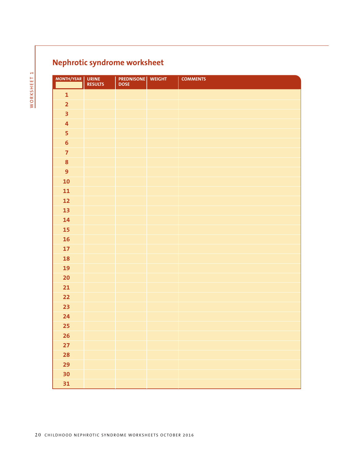| MONTH/YEAR              | URINE<br><b>RESULTS</b> | <b>PREDNISONE</b><br><b>DOSE</b> | <b>WEIGHT</b> | <b>COMMENTS</b> |
|-------------------------|-------------------------|----------------------------------|---------------|-----------------|
| $\mathbf{1}$            |                         |                                  |               |                 |
| $\overline{\mathbf{2}}$ |                         |                                  |               |                 |
| 3                       |                         |                                  |               |                 |
| 4                       |                         |                                  |               |                 |
| 5                       |                         |                                  |               |                 |
| $\boldsymbol{6}$        |                         |                                  |               |                 |
| $\overline{7}$          |                         |                                  |               |                 |
| 8                       |                         |                                  |               |                 |
| $\overline{9}$          |                         |                                  |               |                 |
| 10                      |                         |                                  |               |                 |
| 11                      |                         |                                  |               |                 |
| 12                      |                         |                                  |               |                 |
| 13                      |                         |                                  |               |                 |
| 14                      |                         |                                  |               |                 |
| 15                      |                         |                                  |               |                 |
| 16                      |                         |                                  |               |                 |
| 17                      |                         |                                  |               |                 |
| 18                      |                         |                                  |               |                 |
| 19                      |                         |                                  |               |                 |
| 20                      |                         |                                  |               |                 |
| 21                      |                         |                                  |               |                 |
| 22                      |                         |                                  |               |                 |
| 23                      |                         |                                  |               |                 |
| 24                      |                         |                                  |               |                 |
| 25                      |                         |                                  |               |                 |
| 26                      |                         |                                  |               |                 |
| 27                      |                         |                                  |               |                 |
| 28                      |                         |                                  |               |                 |
| 29                      |                         |                                  |               |                 |
| 30 <sub>o</sub>         |                         |                                  |               |                 |
| 31                      |                         |                                  |               |                 |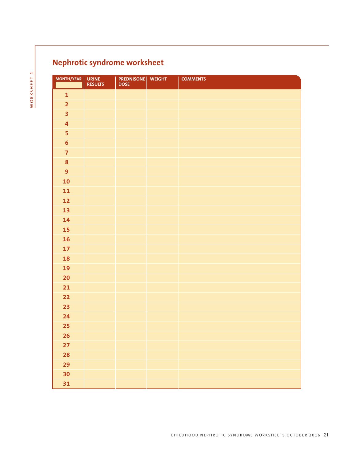| MONTH/YEAR              | URINE<br><b>RESULTS</b> | <b>PREDNISONE</b><br><b>DOSE</b> | <b>WEIGHT</b> | <b>COMMENTS</b> |
|-------------------------|-------------------------|----------------------------------|---------------|-----------------|
| $\mathbf{1}$            |                         |                                  |               |                 |
| $\overline{\mathbf{2}}$ |                         |                                  |               |                 |
| 3                       |                         |                                  |               |                 |
| 4                       |                         |                                  |               |                 |
| 5                       |                         |                                  |               |                 |
| $\boldsymbol{6}$        |                         |                                  |               |                 |
| $\overline{7}$          |                         |                                  |               |                 |
| 8                       |                         |                                  |               |                 |
| $\overline{9}$          |                         |                                  |               |                 |
| 10                      |                         |                                  |               |                 |
| 11                      |                         |                                  |               |                 |
| 12                      |                         |                                  |               |                 |
| 13                      |                         |                                  |               |                 |
| 14                      |                         |                                  |               |                 |
| 15                      |                         |                                  |               |                 |
| 16                      |                         |                                  |               |                 |
| 17                      |                         |                                  |               |                 |
| 18                      |                         |                                  |               |                 |
| 19                      |                         |                                  |               |                 |
| 20                      |                         |                                  |               |                 |
| 21                      |                         |                                  |               |                 |
| 22                      |                         |                                  |               |                 |
| 23                      |                         |                                  |               |                 |
| 24                      |                         |                                  |               |                 |
| 25                      |                         |                                  |               |                 |
| 26                      |                         |                                  |               |                 |
| 27                      |                         |                                  |               |                 |
| 28                      |                         |                                  |               |                 |
| 29                      |                         |                                  |               |                 |
| 30                      |                         |                                  |               |                 |
| 31                      |                         |                                  |               |                 |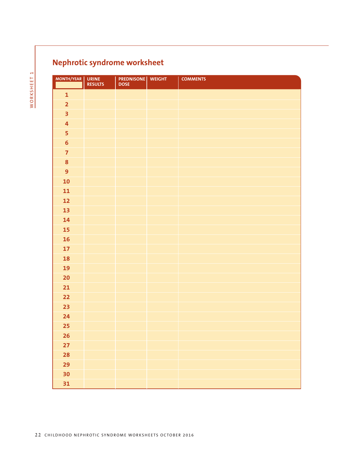| MONTH/YEAR              | <b>URINE</b><br><b>RESULTS</b> | PREDNISONE   WEIGHT<br><b>DOSE</b> | <b>COMMENTS</b> |
|-------------------------|--------------------------------|------------------------------------|-----------------|
| $\mathbf{1}$            |                                |                                    |                 |
| $\overline{\mathbf{2}}$ |                                |                                    |                 |
| 3                       |                                |                                    |                 |
| 4                       |                                |                                    |                 |
| 5                       |                                |                                    |                 |
| $\boldsymbol{6}$        |                                |                                    |                 |
| $\overline{7}$          |                                |                                    |                 |
| 8                       |                                |                                    |                 |
| $\overline{9}$          |                                |                                    |                 |
| 10                      |                                |                                    |                 |
| 11                      |                                |                                    |                 |
| 12                      |                                |                                    |                 |
| 13                      |                                |                                    |                 |
| 14                      |                                |                                    |                 |
| 15                      |                                |                                    |                 |
| 16                      |                                |                                    |                 |
| 17                      |                                |                                    |                 |
| 18                      |                                |                                    |                 |
| 19                      |                                |                                    |                 |
| 20                      |                                |                                    |                 |
| 21                      |                                |                                    |                 |
| 22                      |                                |                                    |                 |
| 23                      |                                |                                    |                 |
| 24                      |                                |                                    |                 |
| 25                      |                                |                                    |                 |
| <b>26</b>               |                                |                                    |                 |
| 27                      |                                |                                    |                 |
| 28                      |                                |                                    |                 |
| 29                      |                                |                                    |                 |
| 30 <sub>o</sub>         |                                |                                    |                 |
| 31                      |                                |                                    |                 |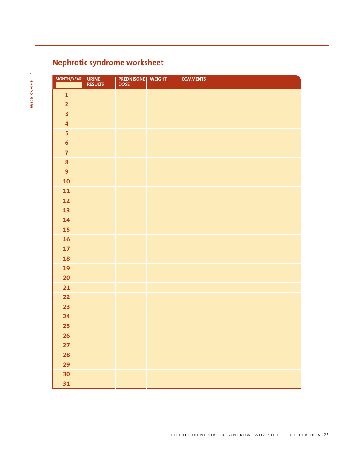| MONTH/YEAR              | URINE<br><b>RESULTS</b> | <b>PREDNISONE</b><br><b>DOSE</b> | <b>WEIGHT</b> | <b>COMMENTS</b> |
|-------------------------|-------------------------|----------------------------------|---------------|-----------------|
| $\mathbf{1}$            |                         |                                  |               |                 |
| $\overline{\mathbf{2}}$ |                         |                                  |               |                 |
| 3                       |                         |                                  |               |                 |
| 4                       |                         |                                  |               |                 |
| 5                       |                         |                                  |               |                 |
| $\boldsymbol{6}$        |                         |                                  |               |                 |
| $\overline{7}$          |                         |                                  |               |                 |
| 8                       |                         |                                  |               |                 |
| $\overline{9}$          |                         |                                  |               |                 |
| 10                      |                         |                                  |               |                 |
| 11                      |                         |                                  |               |                 |
| 12                      |                         |                                  |               |                 |
| 13                      |                         |                                  |               |                 |
| 14                      |                         |                                  |               |                 |
| 15                      |                         |                                  |               |                 |
| 16                      |                         |                                  |               |                 |
| 17                      |                         |                                  |               |                 |
| 18                      |                         |                                  |               |                 |
| 19                      |                         |                                  |               |                 |
| 20                      |                         |                                  |               |                 |
| 21                      |                         |                                  |               |                 |
| 22                      |                         |                                  |               |                 |
| 23                      |                         |                                  |               |                 |
| 24                      |                         |                                  |               |                 |
| 25                      |                         |                                  |               |                 |
| 26                      |                         |                                  |               |                 |
| 27                      |                         |                                  |               |                 |
| 28                      |                         |                                  |               |                 |
| 29                      |                         |                                  |               |                 |
| 30                      |                         |                                  |               |                 |
| 31                      |                         |                                  |               |                 |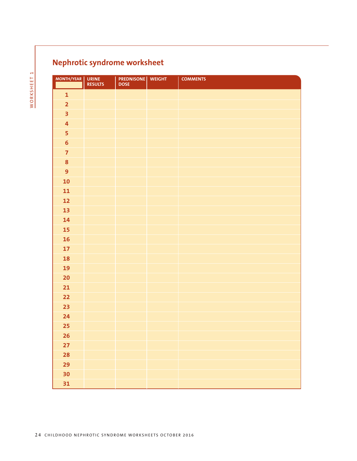| <b>MONTH/YEAR</b>       | <b>URINE</b><br><b>RESULTS</b> | PREDNISONE   WEIGHT<br><b>DOSE</b> | <b>COMMENTS</b> |
|-------------------------|--------------------------------|------------------------------------|-----------------|
| $\mathbf{1}$            |                                |                                    |                 |
| $\overline{\mathbf{2}}$ |                                |                                    |                 |
| 3                       |                                |                                    |                 |
| 4                       |                                |                                    |                 |
| 5                       |                                |                                    |                 |
| $\boldsymbol{6}$        |                                |                                    |                 |
| $\overline{7}$          |                                |                                    |                 |
| 8                       |                                |                                    |                 |
| 9                       |                                |                                    |                 |
| 10                      |                                |                                    |                 |
| 11                      |                                |                                    |                 |
| 12                      |                                |                                    |                 |
| 13                      |                                |                                    |                 |
| 14                      |                                |                                    |                 |
| 15                      |                                |                                    |                 |
| 16                      |                                |                                    |                 |
| 17                      |                                |                                    |                 |
| <b>18</b>               |                                |                                    |                 |
| 19                      |                                |                                    |                 |
| 20                      |                                |                                    |                 |
| 21                      |                                |                                    |                 |
| 22                      |                                |                                    |                 |
| 23                      |                                |                                    |                 |
| 24                      |                                |                                    |                 |
| 25                      |                                |                                    |                 |
| 26                      |                                |                                    |                 |
| 27                      |                                |                                    |                 |
| 28                      |                                |                                    |                 |
| 29                      |                                |                                    |                 |
| 30 <sub>o</sub>         |                                |                                    |                 |
| 31                      |                                |                                    |                 |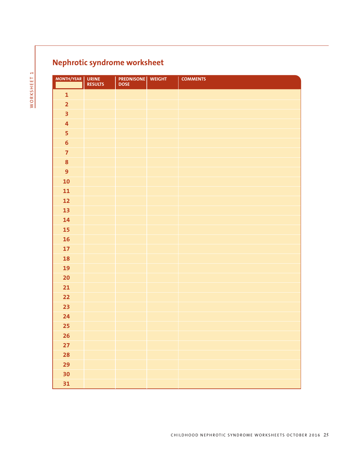| MONTH/YEAR              | URINE<br><b>RESULTS</b> | <b>PREDNISONE</b><br><b>DOSE</b> | <b>WEIGHT</b> | <b>COMMENTS</b> |
|-------------------------|-------------------------|----------------------------------|---------------|-----------------|
| $\mathbf{1}$            |                         |                                  |               |                 |
| $\overline{\mathbf{2}}$ |                         |                                  |               |                 |
| 3                       |                         |                                  |               |                 |
| 4                       |                         |                                  |               |                 |
| 5                       |                         |                                  |               |                 |
| $\boldsymbol{6}$        |                         |                                  |               |                 |
| $\overline{7}$          |                         |                                  |               |                 |
| 8                       |                         |                                  |               |                 |
| $\overline{9}$          |                         |                                  |               |                 |
| 10                      |                         |                                  |               |                 |
| 11                      |                         |                                  |               |                 |
| 12                      |                         |                                  |               |                 |
| 13                      |                         |                                  |               |                 |
| 14                      |                         |                                  |               |                 |
| 15                      |                         |                                  |               |                 |
| 16                      |                         |                                  |               |                 |
| 17                      |                         |                                  |               |                 |
| 18                      |                         |                                  |               |                 |
| 19                      |                         |                                  |               |                 |
| 20                      |                         |                                  |               |                 |
| 21                      |                         |                                  |               |                 |
| 22                      |                         |                                  |               |                 |
| 23                      |                         |                                  |               |                 |
| 24                      |                         |                                  |               |                 |
| 25                      |                         |                                  |               |                 |
| 26                      |                         |                                  |               |                 |
| 27                      |                         |                                  |               |                 |
| 28                      |                         |                                  |               |                 |
| 29                      |                         |                                  |               |                 |
| 30                      |                         |                                  |               |                 |
| 31                      |                         |                                  |               |                 |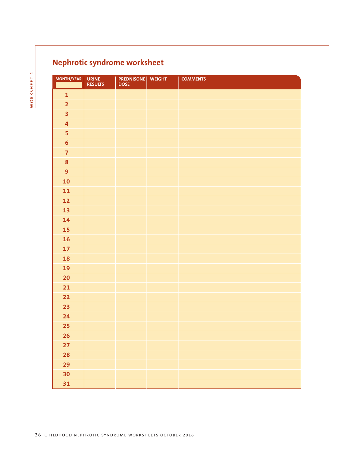| MONTH/YEAR              | URINE<br><b>RESULTS</b> | <b>PREDNISONE</b><br><b>DOSE</b> | <b>WEIGHT</b> | <b>COMMENTS</b> |
|-------------------------|-------------------------|----------------------------------|---------------|-----------------|
| $\mathbf{1}$            |                         |                                  |               |                 |
| $\overline{\mathbf{2}}$ |                         |                                  |               |                 |
| 3                       |                         |                                  |               |                 |
| 4                       |                         |                                  |               |                 |
| 5                       |                         |                                  |               |                 |
| $\boldsymbol{6}$        |                         |                                  |               |                 |
| $\overline{7}$          |                         |                                  |               |                 |
| 8                       |                         |                                  |               |                 |
| $\overline{9}$          |                         |                                  |               |                 |
| 10                      |                         |                                  |               |                 |
| 11                      |                         |                                  |               |                 |
| 12                      |                         |                                  |               |                 |
| 13                      |                         |                                  |               |                 |
| 14                      |                         |                                  |               |                 |
| 15                      |                         |                                  |               |                 |
| 16                      |                         |                                  |               |                 |
| 17                      |                         |                                  |               |                 |
| 18                      |                         |                                  |               |                 |
| 19                      |                         |                                  |               |                 |
| 20                      |                         |                                  |               |                 |
| 21                      |                         |                                  |               |                 |
| 22                      |                         |                                  |               |                 |
| 23                      |                         |                                  |               |                 |
| 24                      |                         |                                  |               |                 |
| 25                      |                         |                                  |               |                 |
| 26                      |                         |                                  |               |                 |
| 27                      |                         |                                  |               |                 |
| 28                      |                         |                                  |               |                 |
| 29                      |                         |                                  |               |                 |
| 30                      |                         |                                  |               |                 |
| 31                      |                         |                                  |               |                 |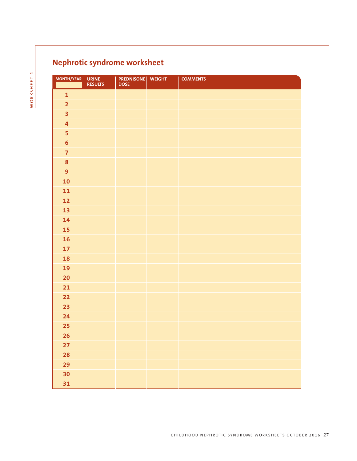| MONTH/YEAR              | URINE<br><b>RESULTS</b> | <b>PREDNISONE</b><br><b>DOSE</b> | <b>WEIGHT</b> | <b>COMMENTS</b> |
|-------------------------|-------------------------|----------------------------------|---------------|-----------------|
| $\mathbf{1}$            |                         |                                  |               |                 |
| $\overline{\mathbf{2}}$ |                         |                                  |               |                 |
| 3                       |                         |                                  |               |                 |
| 4                       |                         |                                  |               |                 |
| 5                       |                         |                                  |               |                 |
| $\boldsymbol{6}$        |                         |                                  |               |                 |
| $\overline{7}$          |                         |                                  |               |                 |
| 8                       |                         |                                  |               |                 |
| $\overline{9}$          |                         |                                  |               |                 |
| 10                      |                         |                                  |               |                 |
| 11                      |                         |                                  |               |                 |
| 12                      |                         |                                  |               |                 |
| 13                      |                         |                                  |               |                 |
| 14                      |                         |                                  |               |                 |
| 15                      |                         |                                  |               |                 |
| 16                      |                         |                                  |               |                 |
| 17                      |                         |                                  |               |                 |
| 18                      |                         |                                  |               |                 |
| 19                      |                         |                                  |               |                 |
| 20                      |                         |                                  |               |                 |
| 21                      |                         |                                  |               |                 |
| 22                      |                         |                                  |               |                 |
| 23                      |                         |                                  |               |                 |
| 24                      |                         |                                  |               |                 |
| 25                      |                         |                                  |               |                 |
| 26                      |                         |                                  |               |                 |
| 27                      |                         |                                  |               |                 |
| 28                      |                         |                                  |               |                 |
| 29                      |                         |                                  |               |                 |
| 30                      |                         |                                  |               |                 |
| 31                      |                         |                                  |               |                 |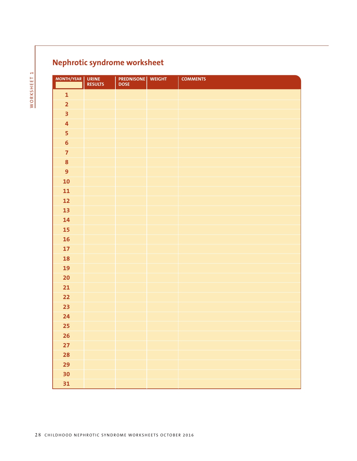| MONTH/YEAR              | <b>URINE</b><br><b>RESULTS</b> | PREDNISONE   WEIGHT<br><b>DOSE</b> | <b>COMMENTS</b> |
|-------------------------|--------------------------------|------------------------------------|-----------------|
| $\mathbf{1}$            |                                |                                    |                 |
| $\overline{\mathbf{2}}$ |                                |                                    |                 |
| 3                       |                                |                                    |                 |
| 4                       |                                |                                    |                 |
| 5                       |                                |                                    |                 |
| $\boldsymbol{6}$        |                                |                                    |                 |
| $\overline{7}$          |                                |                                    |                 |
| 8                       |                                |                                    |                 |
| $\overline{9}$          |                                |                                    |                 |
| 10                      |                                |                                    |                 |
| 11                      |                                |                                    |                 |
| 12                      |                                |                                    |                 |
| 13                      |                                |                                    |                 |
| 14                      |                                |                                    |                 |
| 15                      |                                |                                    |                 |
| 16                      |                                |                                    |                 |
| 17                      |                                |                                    |                 |
| 18                      |                                |                                    |                 |
| 19                      |                                |                                    |                 |
| 20                      |                                |                                    |                 |
| 21                      |                                |                                    |                 |
| 22                      |                                |                                    |                 |
| 23                      |                                |                                    |                 |
| 24                      |                                |                                    |                 |
| 25                      |                                |                                    |                 |
| <b>26</b>               |                                |                                    |                 |
| 27                      |                                |                                    |                 |
| 28                      |                                |                                    |                 |
| 29                      |                                |                                    |                 |
| 30 <sub>o</sub>         |                                |                                    |                 |
| 31                      |                                |                                    |                 |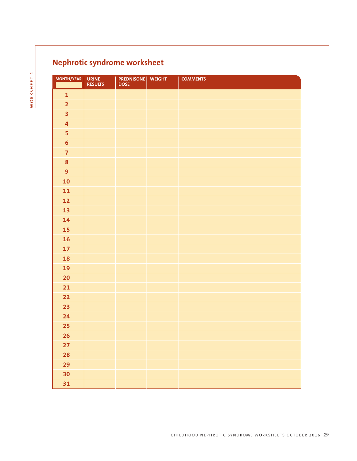| MONTH/YEAR              | URINE<br><b>RESULTS</b> | <b>PREDNISONE</b><br><b>DOSE</b> | <b>WEIGHT</b> | <b>COMMENTS</b> |
|-------------------------|-------------------------|----------------------------------|---------------|-----------------|
| $\mathbf{1}$            |                         |                                  |               |                 |
| $\overline{\mathbf{2}}$ |                         |                                  |               |                 |
| 3                       |                         |                                  |               |                 |
| 4                       |                         |                                  |               |                 |
| 5                       |                         |                                  |               |                 |
| $\boldsymbol{6}$        |                         |                                  |               |                 |
| $\overline{7}$          |                         |                                  |               |                 |
| 8                       |                         |                                  |               |                 |
| $\overline{9}$          |                         |                                  |               |                 |
| 10                      |                         |                                  |               |                 |
| 11                      |                         |                                  |               |                 |
| 12                      |                         |                                  |               |                 |
| 13                      |                         |                                  |               |                 |
| 14                      |                         |                                  |               |                 |
| 15                      |                         |                                  |               |                 |
| 16                      |                         |                                  |               |                 |
| 17                      |                         |                                  |               |                 |
| 18                      |                         |                                  |               |                 |
| 19                      |                         |                                  |               |                 |
| 20                      |                         |                                  |               |                 |
| 21                      |                         |                                  |               |                 |
| 22                      |                         |                                  |               |                 |
| 23                      |                         |                                  |               |                 |
| 24                      |                         |                                  |               |                 |
| 25                      |                         |                                  |               |                 |
| 26                      |                         |                                  |               |                 |
| 27                      |                         |                                  |               |                 |
| 28                      |                         |                                  |               |                 |
| 29                      |                         |                                  |               |                 |
| 30                      |                         |                                  |               |                 |
| 31                      |                         |                                  |               |                 |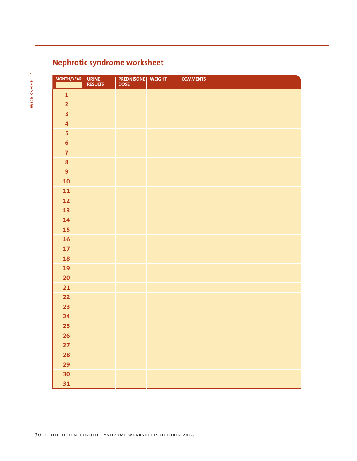| MONTH/YEAR              | <b>URINE</b><br><b>RESULTS</b> | PREDNISONE   WEIGHT<br><b>DOSE</b> | <b>COMMENTS</b> |
|-------------------------|--------------------------------|------------------------------------|-----------------|
| $\mathbf{1}$            |                                |                                    |                 |
| $\overline{\mathbf{2}}$ |                                |                                    |                 |
| 3                       |                                |                                    |                 |
| 4                       |                                |                                    |                 |
| 5                       |                                |                                    |                 |
| $\boldsymbol{6}$        |                                |                                    |                 |
| $\overline{7}$          |                                |                                    |                 |
| 8                       |                                |                                    |                 |
| $\overline{9}$          |                                |                                    |                 |
| 10                      |                                |                                    |                 |
| 11                      |                                |                                    |                 |
| 12                      |                                |                                    |                 |
| 13                      |                                |                                    |                 |
| 14                      |                                |                                    |                 |
| 15                      |                                |                                    |                 |
| 16                      |                                |                                    |                 |
| 17                      |                                |                                    |                 |
| 18                      |                                |                                    |                 |
| 19                      |                                |                                    |                 |
| 20                      |                                |                                    |                 |
| 21                      |                                |                                    |                 |
| 22                      |                                |                                    |                 |
| 23                      |                                |                                    |                 |
| 24                      |                                |                                    |                 |
| 25                      |                                |                                    |                 |
| <b>26</b>               |                                |                                    |                 |
| 27                      |                                |                                    |                 |
| 28                      |                                |                                    |                 |
| 29                      |                                |                                    |                 |
| 30 <sub>o</sub>         |                                |                                    |                 |
| 31                      |                                |                                    |                 |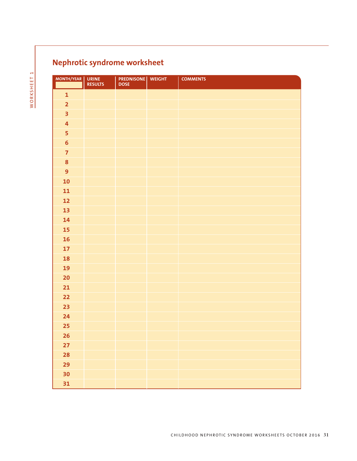| <b>MONTH/YEAR</b>       | <b>URINE</b><br><b>RESULTS</b> | <b>PREDNISONE</b><br><b>DOSE</b> | <b>WEIGHT</b> | <b>COMMENTS</b> |
|-------------------------|--------------------------------|----------------------------------|---------------|-----------------|
| $\mathbf{1}$            |                                |                                  |               |                 |
| $\overline{\mathbf{2}}$ |                                |                                  |               |                 |
| 3                       |                                |                                  |               |                 |
| 4                       |                                |                                  |               |                 |
| 5                       |                                |                                  |               |                 |
| $\boldsymbol{6}$        |                                |                                  |               |                 |
| $\overline{7}$          |                                |                                  |               |                 |
| 8                       |                                |                                  |               |                 |
| 9                       |                                |                                  |               |                 |
| 10                      |                                |                                  |               |                 |
| 11                      |                                |                                  |               |                 |
| 12                      |                                |                                  |               |                 |
| 13                      |                                |                                  |               |                 |
| 14                      |                                |                                  |               |                 |
| 15                      |                                |                                  |               |                 |
| 16                      |                                |                                  |               |                 |
| 17                      |                                |                                  |               |                 |
| <b>18</b>               |                                |                                  |               |                 |
| 19                      |                                |                                  |               |                 |
| 20                      |                                |                                  |               |                 |
| 21                      |                                |                                  |               |                 |
| 22                      |                                |                                  |               |                 |
| 23                      |                                |                                  |               |                 |
| 24                      |                                |                                  |               |                 |
| 25                      |                                |                                  |               |                 |
| <b>26</b>               |                                |                                  |               |                 |
| 27                      |                                |                                  |               |                 |
| 28                      |                                |                                  |               |                 |
| 29                      |                                |                                  |               |                 |
| 30                      |                                |                                  |               |                 |
| 31                      |                                |                                  |               |                 |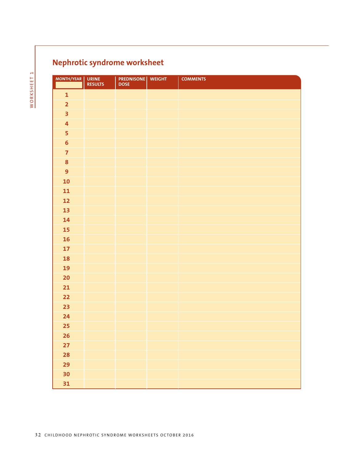| <b>MONTH/YEAR</b>       | <b>URINE</b><br><b>RESULTS</b> | PREDNISONE   WEIGHT<br><b>DOSE</b> | <b>COMMENTS</b> |
|-------------------------|--------------------------------|------------------------------------|-----------------|
| $\mathbf{1}$            |                                |                                    |                 |
| $\overline{\mathbf{2}}$ |                                |                                    |                 |
| 3                       |                                |                                    |                 |
| 4                       |                                |                                    |                 |
| 5                       |                                |                                    |                 |
| $\boldsymbol{6}$        |                                |                                    |                 |
| $\overline{7}$          |                                |                                    |                 |
| 8                       |                                |                                    |                 |
| 9                       |                                |                                    |                 |
| 10                      |                                |                                    |                 |
| 11                      |                                |                                    |                 |
| 12                      |                                |                                    |                 |
| 13                      |                                |                                    |                 |
| 14                      |                                |                                    |                 |
| 15                      |                                |                                    |                 |
| 16                      |                                |                                    |                 |
| 17                      |                                |                                    |                 |
| <b>18</b>               |                                |                                    |                 |
| 19                      |                                |                                    |                 |
| 20                      |                                |                                    |                 |
| 21                      |                                |                                    |                 |
| 22                      |                                |                                    |                 |
| 23                      |                                |                                    |                 |
| 24                      |                                |                                    |                 |
| 25                      |                                |                                    |                 |
| 26                      |                                |                                    |                 |
| 27                      |                                |                                    |                 |
| 28                      |                                |                                    |                 |
| 29                      |                                |                                    |                 |
| 30 <sub>o</sub>         |                                |                                    |                 |
| 31                      |                                |                                    |                 |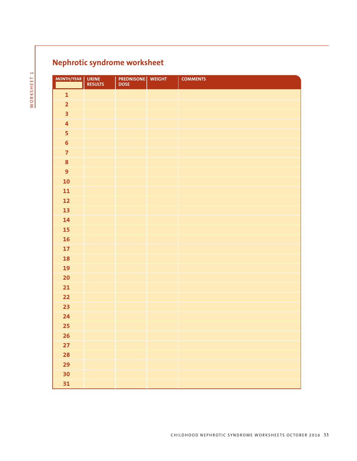| MONTH/YEAR              | URINE<br><b>RESULTS</b> | <b>PREDNISONE</b><br><b>DOSE</b> | <b>WEIGHT</b> | <b>COMMENTS</b> |
|-------------------------|-------------------------|----------------------------------|---------------|-----------------|
| $\mathbf{1}$            |                         |                                  |               |                 |
| $\overline{\mathbf{2}}$ |                         |                                  |               |                 |
| 3                       |                         |                                  |               |                 |
| 4                       |                         |                                  |               |                 |
| 5                       |                         |                                  |               |                 |
| $\boldsymbol{6}$        |                         |                                  |               |                 |
| $\overline{7}$          |                         |                                  |               |                 |
| 8                       |                         |                                  |               |                 |
| $\overline{9}$          |                         |                                  |               |                 |
| 10                      |                         |                                  |               |                 |
| 11                      |                         |                                  |               |                 |
| 12                      |                         |                                  |               |                 |
| 13                      |                         |                                  |               |                 |
| 14                      |                         |                                  |               |                 |
| 15                      |                         |                                  |               |                 |
| 16                      |                         |                                  |               |                 |
| 17                      |                         |                                  |               |                 |
| 18                      |                         |                                  |               |                 |
| 19                      |                         |                                  |               |                 |
| 20                      |                         |                                  |               |                 |
| 21                      |                         |                                  |               |                 |
| 22                      |                         |                                  |               |                 |
| 23                      |                         |                                  |               |                 |
| 24                      |                         |                                  |               |                 |
| 25                      |                         |                                  |               |                 |
| 26                      |                         |                                  |               |                 |
| 27                      |                         |                                  |               |                 |
| 28                      |                         |                                  |               |                 |
| 29                      |                         |                                  |               |                 |
| 30                      |                         |                                  |               |                 |
| 31                      |                         |                                  |               |                 |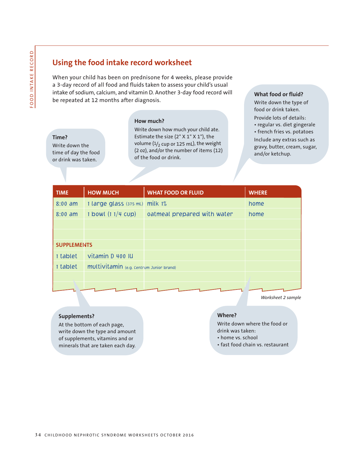# F O OD I N TAK E R E CO RD

#### **Using the food intake record worksheet**

When your child has been on prednisone for 4 weeks, please provide a 3-day record of all food and fluids taken to assess your child's usual intake of sodium, calcium, and vitamin D. Another 3-day food record will be repeated at 12 months after diagnosis.

#### **How much?**

**Time?** Write down the time of day the food or drink was taken.

Write down how much your child ate. Estimate the size (2" X 1" X 1"), the volume  $(1/2)$  cup or 125 mL), the weight (2 oz), and/or the number of items (12) of the food or drink.

#### **What food or fluid?**

Write down the type of food or drink taken.

Provide lots of details:

• regular vs. diet gingerale

• french fries vs. potatoes Include any extras such as gravy, butter, cream, sugar, and/or ketchup.

| <b>TIME</b>        | <b>HOW MUCH</b>                          | <b>WHAT FOOD OR FLUID</b>   | <b>WHERE</b>       |
|--------------------|------------------------------------------|-----------------------------|--------------------|
| $8:00$ am          | 1 large glass (375 mL) milk 1%           |                             | home               |
| $8:00$ am          | 1 bowl $(11/4$ cup)                      | oatmeal prepared with water | home               |
|                    |                                          |                             |                    |
|                    |                                          |                             |                    |
| <b>SUPPLEMENTS</b> |                                          |                             |                    |
| 1 tablet           | vitamin D 400 IU                         |                             |                    |
| 1 tablet           | multivitamin (e.g. Centrum Junior brand) |                             |                    |
|                    |                                          |                             |                    |
|                    |                                          |                             |                    |
|                    |                                          |                             | Worksheet 2 sample |

#### **Supplements?**

At the bottom of each page, write down the type and amount of supplements, vitamins and or minerals that are taken each day.

#### **Where?**

Write down where the food or drink was taken:

- home vs. school
- fast food chain vs. restaurant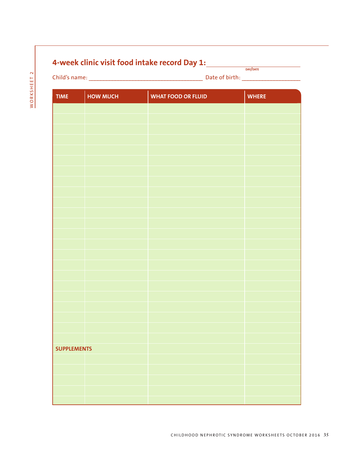# **4-week clinic visit food intake record Day 1:**  $\frac{1}{\text{DAV/DAITE}}$

|  | Child's nan |  |  |
|--|-------------|--|--|
|  |             |  |  |
|  |             |  |  |
|  |             |  |  |

| <b>TIME</b>        | <b>HOW MUCH</b> | <b>WHAT FOOD OR FLUID</b> | <b>WHERE</b> |
|--------------------|-----------------|---------------------------|--------------|
|                    |                 |                           |              |
|                    |                 |                           |              |
|                    |                 |                           |              |
|                    |                 |                           |              |
|                    |                 |                           |              |
|                    |                 |                           |              |
|                    |                 |                           |              |
|                    |                 |                           |              |
|                    |                 |                           |              |
|                    |                 |                           |              |
|                    |                 |                           |              |
|                    |                 |                           |              |
|                    |                 |                           |              |
|                    |                 |                           |              |
|                    |                 |                           |              |
|                    |                 |                           |              |
|                    |                 |                           |              |
|                    |                 |                           |              |
| <b>SUPPLEMENTS</b> |                 |                           |              |
|                    |                 |                           |              |
|                    |                 |                           |              |
|                    |                 |                           |              |
|                    |                 |                           |              |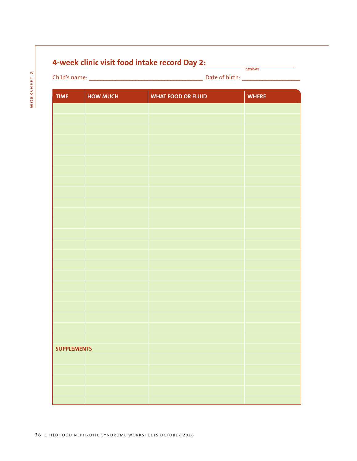# **4-week clinic visit food intake record Day 2:**  $\frac{1}{\text{DAV/DAITE}}$

|  | Child's nan |  |  |
|--|-------------|--|--|
|  |             |  |  |
|  |             |  |  |
|  |             |  |  |

Child's name: \_\_\_\_\_\_\_\_\_\_\_\_\_\_\_\_\_\_\_\_\_\_\_\_\_\_\_\_\_\_\_\_\_\_\_\_\_\_\_ Date of birth: \_\_\_\_\_\_\_\_\_\_\_\_\_\_\_\_\_\_\_\_

| <b>TIME</b>        | <b>HOW MUCH</b> | <b>WHAT FOOD OR FLUID</b> | <b>WHERE</b> |
|--------------------|-----------------|---------------------------|--------------|
|                    |                 |                           |              |
|                    |                 |                           |              |
|                    |                 |                           |              |
|                    |                 |                           |              |
|                    |                 |                           |              |
|                    |                 |                           |              |
|                    |                 |                           |              |
|                    |                 |                           |              |
|                    |                 |                           |              |
|                    |                 |                           |              |
|                    |                 |                           |              |
|                    |                 |                           |              |
|                    |                 |                           |              |
|                    |                 |                           |              |
|                    |                 |                           |              |
|                    |                 |                           |              |
|                    |                 |                           |              |
|                    |                 |                           |              |
|                    |                 |                           |              |
| <b>SUPPLEMENTS</b> |                 |                           |              |
|                    |                 |                           |              |
|                    |                 |                           |              |
|                    |                 |                           |              |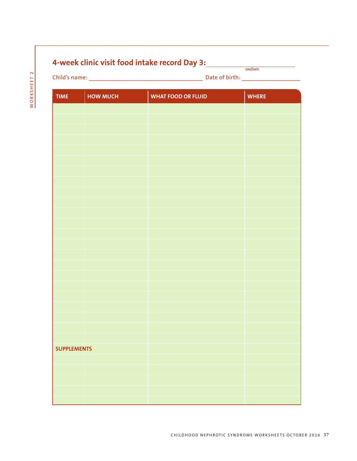# **4-week clinic visit food intake record Day 3:**  $\frac{1}{\text{DAV/DAITE}}$

|  | Child's nan |
|--|-------------|
|  |             |
|  |             |

| <b>TIME</b>        | <b>HOW MUCH</b> | <b>WHAT FOOD OR FLUID</b> | <b>WHERE</b> |
|--------------------|-----------------|---------------------------|--------------|
|                    |                 |                           |              |
|                    |                 |                           |              |
|                    |                 |                           |              |
|                    |                 |                           |              |
|                    |                 |                           |              |
|                    |                 |                           |              |
|                    |                 |                           |              |
|                    |                 |                           |              |
|                    |                 |                           |              |
|                    |                 |                           |              |
|                    |                 |                           |              |
|                    |                 |                           |              |
|                    |                 |                           |              |
|                    |                 |                           |              |
|                    |                 |                           |              |
|                    |                 |                           |              |
|                    |                 |                           |              |
|                    |                 |                           |              |
|                    |                 |                           |              |
| <b>SUPPLEMENTS</b> |                 |                           |              |
|                    |                 |                           |              |
|                    |                 |                           |              |
|                    |                 |                           |              |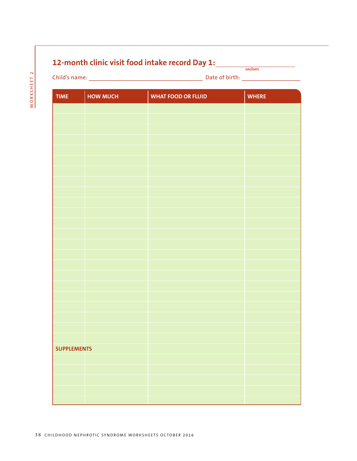# **12-month clinic visit food intake record Day 1:**  $\frac{1}{\text{DAV/DAITE}}$

| Child's nan |  |  |  |
|-------------|--|--|--|
|             |  |  |  |
|             |  |  |  |

| <b>TIME</b>        | <b>HOW MUCH</b> | <b>WHAT FOOD OR FLUID</b> | <b>WHERE</b> |
|--------------------|-----------------|---------------------------|--------------|
|                    |                 |                           |              |
|                    |                 |                           |              |
|                    |                 |                           |              |
|                    |                 |                           |              |
|                    |                 |                           |              |
|                    |                 |                           |              |
|                    |                 |                           |              |
|                    |                 |                           |              |
|                    |                 |                           |              |
|                    |                 |                           |              |
|                    |                 |                           |              |
|                    |                 |                           |              |
|                    |                 |                           |              |
|                    |                 |                           |              |
|                    |                 |                           |              |
|                    |                 |                           |              |
|                    |                 |                           |              |
|                    |                 |                           |              |
| <b>SUPPLEMENTS</b> |                 |                           |              |
|                    |                 |                           |              |
|                    |                 |                           |              |
|                    |                 |                           |              |
|                    |                 |                           |              |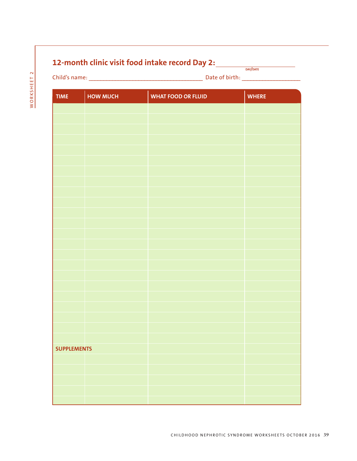# **12-month clinic visit food intake record Day 2:**  $\frac{1}{\text{DAV/DAITE}}$

|  | Child's nan |
|--|-------------|
|  |             |
|  |             |

| <b>TIME</b>        | <b>HOW MUCH</b> | <b>WHAT FOOD OR FLUID</b> | <b>WHERE</b> |
|--------------------|-----------------|---------------------------|--------------|
|                    |                 |                           |              |
|                    |                 |                           |              |
|                    |                 |                           |              |
|                    |                 |                           |              |
|                    |                 |                           |              |
|                    |                 |                           |              |
|                    |                 |                           |              |
|                    |                 |                           |              |
|                    |                 |                           |              |
|                    |                 |                           |              |
|                    |                 |                           |              |
|                    |                 |                           |              |
|                    |                 |                           |              |
|                    |                 |                           |              |
|                    |                 |                           |              |
|                    |                 |                           |              |
|                    |                 |                           |              |
|                    |                 |                           |              |
|                    |                 |                           |              |
| <b>SUPPLEMENTS</b> |                 |                           |              |
|                    |                 |                           |              |
|                    |                 |                           |              |
|                    |                 |                           |              |
|                    |                 |                           |              |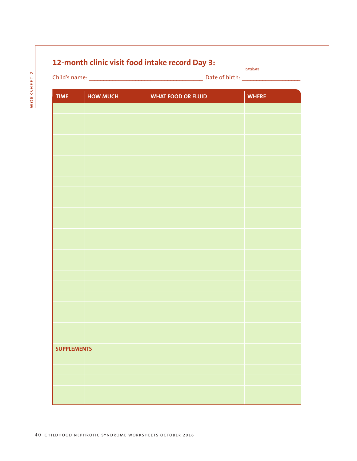# **12-month clinic visit food intake record Day 3:**  $\frac{1}{\text{DAV/DAITE}}$

| Child's nar |  |  |  |
|-------------|--|--|--|
|             |  |  |  |
|             |  |  |  |

| <b>TIME</b>        | <b>HOW MUCH</b> | <b>WHAT FOOD OR FLUID</b> | <b>WHERE</b> |
|--------------------|-----------------|---------------------------|--------------|
|                    |                 |                           |              |
|                    |                 |                           |              |
|                    |                 |                           |              |
|                    |                 |                           |              |
|                    |                 |                           |              |
|                    |                 |                           |              |
|                    |                 |                           |              |
|                    |                 |                           |              |
|                    |                 |                           |              |
|                    |                 |                           |              |
|                    |                 |                           |              |
|                    |                 |                           |              |
|                    |                 |                           |              |
|                    |                 |                           |              |
|                    |                 |                           |              |
|                    |                 |                           |              |
|                    |                 |                           |              |
|                    |                 |                           |              |
| <b>SUPPLEMENTS</b> |                 |                           |              |
|                    |                 |                           |              |
|                    |                 |                           |              |
|                    |                 |                           |              |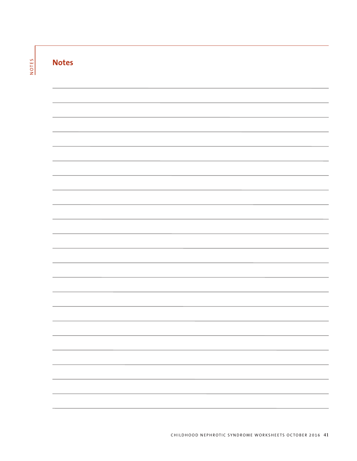N OT E S

#### **Notes**

|  | -                      |
|--|------------------------|
|  |                        |
|  |                        |
|  |                        |
|  | and the control of the |
|  |                        |
|  |                        |
|  |                        |
|  | -                      |
|  |                        |
|  |                        |
|  |                        |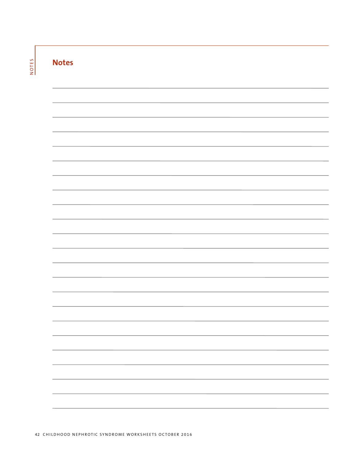N OT E S

#### **Notes**

| $\overline{\phantom{a}}$        |
|---------------------------------|
|                                 |
|                                 |
| $\overline{\phantom{a}}$        |
|                                 |
| the contract of the contract of |
|                                 |
| $\overline{\phantom{a}}$        |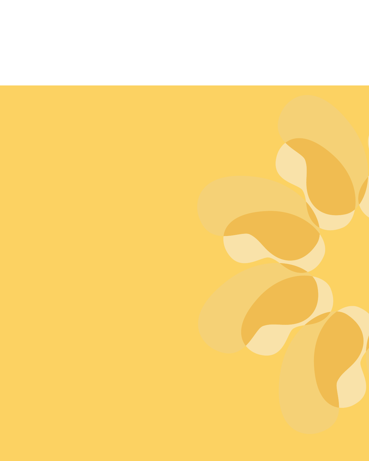